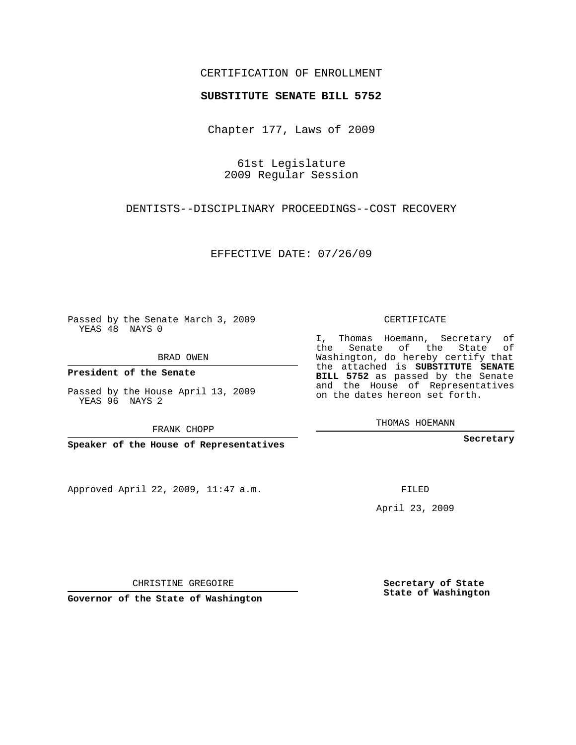## CERTIFICATION OF ENROLLMENT

## **SUBSTITUTE SENATE BILL 5752**

Chapter 177, Laws of 2009

61st Legislature 2009 Regular Session

DENTISTS--DISCIPLINARY PROCEEDINGS--COST RECOVERY

EFFECTIVE DATE: 07/26/09

Passed by the Senate March 3, 2009 YEAS 48 NAYS 0

BRAD OWEN

**President of the Senate**

Passed by the House April 13, 2009 YEAS 96 NAYS 2

FRANK CHOPP

**Speaker of the House of Representatives**

Approved April 22, 2009, 11:47 a.m.

CERTIFICATE

I, Thomas Hoemann, Secretary of the Senate of the State of Washington, do hereby certify that the attached is **SUBSTITUTE SENATE BILL 5752** as passed by the Senate and the House of Representatives on the dates hereon set forth.

THOMAS HOEMANN

**Secretary**

FILED

April 23, 2009

**Secretary of State State of Washington**

**Governor of the State of Washington**

CHRISTINE GREGOIRE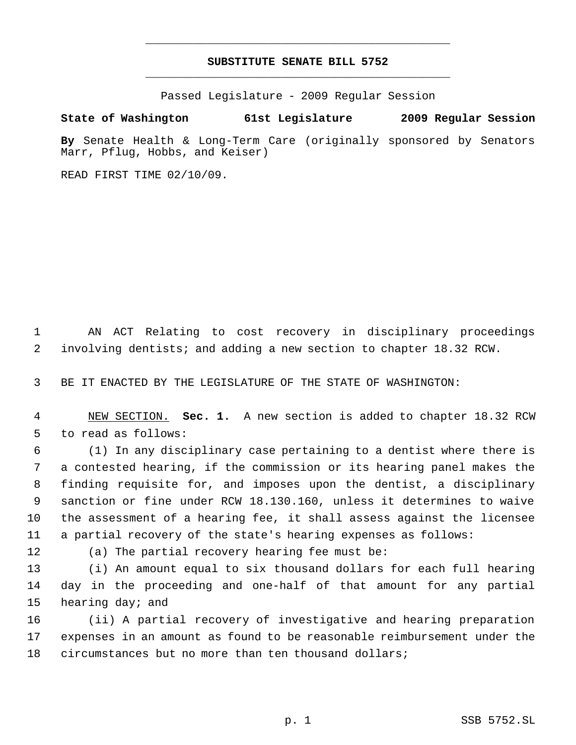## **SUBSTITUTE SENATE BILL 5752** \_\_\_\_\_\_\_\_\_\_\_\_\_\_\_\_\_\_\_\_\_\_\_\_\_\_\_\_\_\_\_\_\_\_\_\_\_\_\_\_\_\_\_\_\_

\_\_\_\_\_\_\_\_\_\_\_\_\_\_\_\_\_\_\_\_\_\_\_\_\_\_\_\_\_\_\_\_\_\_\_\_\_\_\_\_\_\_\_\_\_

Passed Legislature - 2009 Regular Session

## **State of Washington 61st Legislature 2009 Regular Session**

**By** Senate Health & Long-Term Care (originally sponsored by Senators Marr, Pflug, Hobbs, and Keiser)

READ FIRST TIME 02/10/09.

 AN ACT Relating to cost recovery in disciplinary proceedings involving dentists; and adding a new section to chapter 18.32 RCW.

BE IT ENACTED BY THE LEGISLATURE OF THE STATE OF WASHINGTON:

 NEW SECTION. **Sec. 1.** A new section is added to chapter 18.32 RCW to read as follows:

 (1) In any disciplinary case pertaining to a dentist where there is a contested hearing, if the commission or its hearing panel makes the finding requisite for, and imposes upon the dentist, a disciplinary sanction or fine under RCW 18.130.160, unless it determines to waive the assessment of a hearing fee, it shall assess against the licensee a partial recovery of the state's hearing expenses as follows:

(a) The partial recovery hearing fee must be:

 (i) An amount equal to six thousand dollars for each full hearing day in the proceeding and one-half of that amount for any partial hearing day; and

 (ii) A partial recovery of investigative and hearing preparation expenses in an amount as found to be reasonable reimbursement under the circumstances but no more than ten thousand dollars;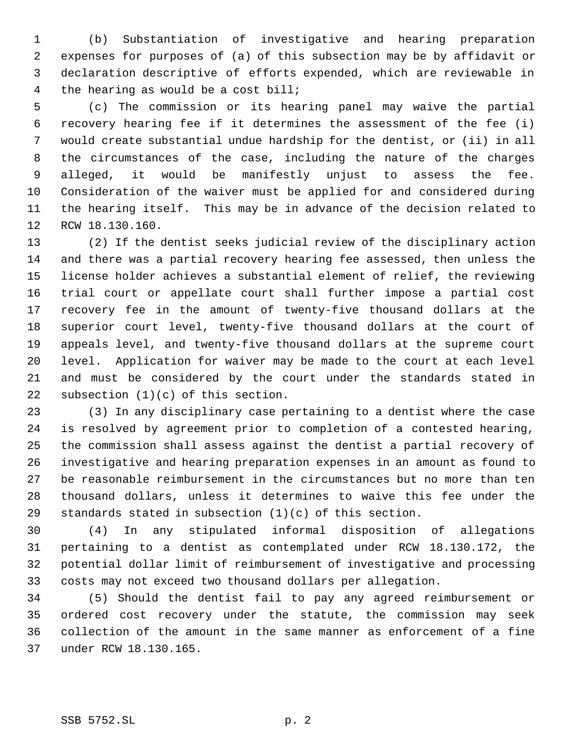(b) Substantiation of investigative and hearing preparation expenses for purposes of (a) of this subsection may be by affidavit or declaration descriptive of efforts expended, which are reviewable in the hearing as would be a cost bill;

 (c) The commission or its hearing panel may waive the partial recovery hearing fee if it determines the assessment of the fee (i) would create substantial undue hardship for the dentist, or (ii) in all the circumstances of the case, including the nature of the charges alleged, it would be manifestly unjust to assess the fee. Consideration of the waiver must be applied for and considered during the hearing itself. This may be in advance of the decision related to RCW 18.130.160.

 (2) If the dentist seeks judicial review of the disciplinary action and there was a partial recovery hearing fee assessed, then unless the license holder achieves a substantial element of relief, the reviewing trial court or appellate court shall further impose a partial cost recovery fee in the amount of twenty-five thousand dollars at the superior court level, twenty-five thousand dollars at the court of appeals level, and twenty-five thousand dollars at the supreme court level. Application for waiver may be made to the court at each level and must be considered by the court under the standards stated in subsection (1)(c) of this section.

 (3) In any disciplinary case pertaining to a dentist where the case is resolved by agreement prior to completion of a contested hearing, the commission shall assess against the dentist a partial recovery of investigative and hearing preparation expenses in an amount as found to be reasonable reimbursement in the circumstances but no more than ten thousand dollars, unless it determines to waive this fee under the standards stated in subsection (1)(c) of this section.

 (4) In any stipulated informal disposition of allegations pertaining to a dentist as contemplated under RCW 18.130.172, the potential dollar limit of reimbursement of investigative and processing costs may not exceed two thousand dollars per allegation.

 (5) Should the dentist fail to pay any agreed reimbursement or ordered cost recovery under the statute, the commission may seek collection of the amount in the same manner as enforcement of a fine under RCW 18.130.165.